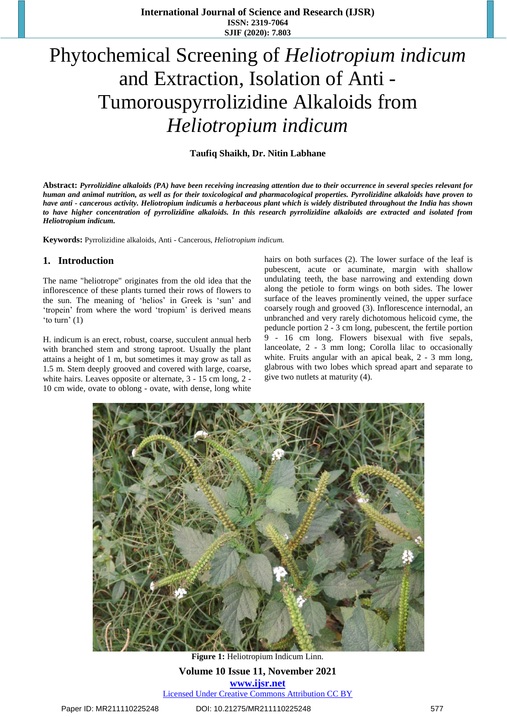# Phytochemical Screening of *Heliotropium indicum* and Extraction, Isolation of Anti - Tumorouspyrrolizidine Alkaloids from *Heliotropium indicum*

#### **Taufiq Shaikh, Dr. Nitin Labhane**

Abstract: Pyrrolizidine alkaloids (PA) have been receiving increasing attention due to their occurrence in several species relevant for human and animal nutrition, as well as for their toxicological and pharmacological properties. Pyrrolizidine alkaloids have proven to have anti - cancerous activity. Heliotropium indicumis a herbaceous plant which is widely distributed throughout the India has shown to have higher concentration of pyrrolizidine alkaloids. In this research pyrrolizidine alkaloids are extracted and isolated from *Heliotropium indicum.*

**Keywords:** Pyrrolizidine alkaloids, Anti - Cancerous, *Heliotropium indicum.* 

#### **1. Introduction**

The name "heliotrope" originates from the old idea that the inflorescence of these plants turned their rows of flowers to the sun. The meaning of 'helios' in Greek is 'sun' and 'tropein' from where the word 'tropium' is derived means 'to turn' (1)

H. indicum is an erect, robust, coarse, succulent annual herb with branched stem and strong taproot. Usually the plant attains a height of 1 m, but sometimes it may grow as tall as 1.5 m. Stem deeply grooved and covered with large, coarse, white hairs. Leaves opposite or alternate, 3 - 15 cm long, 2 - 10 cm wide, ovate to oblong - ovate, with dense, long white hairs on both surfaces (2). The lower surface of the leaf is pubescent, acute or acuminate, margin with shallow undulating teeth, the base narrowing and extending down along the petiole to form wings on both sides. The lower surface of the leaves prominently veined, the upper surface coarsely rough and grooved (3). Inflorescence internodal, an unbranched and very rarely dichotomous helicoid cyme, the peduncle portion 2 - 3 cm long, pubescent, the fertile portion 9 - 16 cm long. Flowers bisexual with five sepals, lanceolate, 2 - 3 mm long; Corolla lilac to occasionally white. Fruits angular with an apical beak, 2 - 3 mm long, glabrous with two lobes which spread apart and separate to give two nutlets at maturity (4).



**Volume 10 Issue 11, November 2021 www.ijsr.net** Licensed Under Creative Commons Attribution CC BY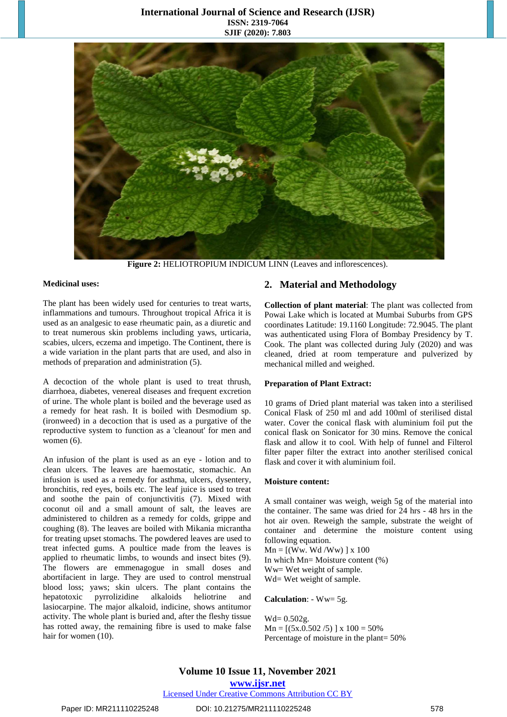### **International Journal of Science and Research (IJSR) ISSN: 2319-7064 SJIF (2020): 7.803**



**Figure 2:** HELIOTROPIUM INDICUM LINN (Leaves and inflorescences).

#### **Medicinal uses:**

The plant has been widely used for centuries to treat warts, inflammations and tumours. Throughout tropical Africa it is used as an analgesic to ease rheumatic pain, as a diuretic and to treat numerous skin problems including yaws, urticaria, scabies, ulcers, eczema and impetigo. The Continent, there is a wide variation in the plant parts that are used, and also in methods of preparation and administration (5).

A decoction of the whole plant is used to treat thrush, diarrhoea, diabetes, venereal diseases and frequent excretion of urine. The whole plant is boiled and the beverage used as a remedy for heat rash. It is boiled with Desmodium sp. (ironweed) in a decoction that is used as a purgative of the reproductive system to function as a 'cleanout' for men and women (6).

An infusion of the plant is used as an eye - lotion and to clean ulcers. The leaves are haemostatic, stomachic. An infusion is used as a remedy for asthma, ulcers, dysentery, bronchitis, red eyes, boils etc. The leaf juice is used to treat and soothe the pain of conjunctivitis (7). Mixed with coconut oil and a small amount of salt, the leaves are administered to children as a remedy for colds, grippe and coughing (8). The leaves are boiled with Mikania micrantha for treating upset stomachs. The powdered leaves are used to treat infected gums. A poultice made from the leaves is applied to rheumatic limbs, to wounds and insect bites (9). The flowers are emmenagogue in small doses and abortifacient in large. They are used to control menstrual blood loss; yaws; skin ulcers. The plant contains the hepatotoxic pyrrolizidine alkaloids heliotrine and lasiocarpine. The major alkaloid, indicine, shows antitumor activity. The whole plant is buried and, after the fleshy tissue has rotted away, the remaining fibre is used to make false hair for women (10).

### **2. Material and Methodology**

**Collection of plant material**: The plant was collected from Powai Lake which is located at Mumbai Suburbs from GPS coordinates Latitude: 19.1160 Longitude: 72.9045. The plant was authenticated using Flora of Bombay Presidency by T. Cook. The plant was collected during July (2020) and was cleaned, dried at room temperature and pulverized by mechanical milled and weighed.

#### **Preparation of Plant Extract:**

10 grams of Dried plant material was taken into a sterilised Conical Flask of 250 ml and add 100ml of sterilised distal water. Cover the conical flask with aluminium foil put the conical flask on Sonicator for 30 mins. Remove the conical flask and allow it to cool. With help of funnel and Filterol filter paper filter the extract into another sterilised conical flask and cover it with aluminium foil.

#### **Moisture content:**

A small container was weigh, weigh 5g of the material into the container. The same was dried for 24 hrs - 48 hrs in the hot air oven. Reweigh the sample, substrate the weight of container and determine the moisture content using following equation.

 $Mn = [(Ww. Wd/Ww)] x 100$ In which Mn= Moisture content (%) Ww= Wet weight of sample. Wd= Wet weight of sample.

**Calculation**: - Ww= 5g.

Wd= 0.502g.  $Mn = [(5x.0.502/5)] x 100 = 50\%$ Percentage of moisture in the plant= 50%

**Volume 10 Issue 11, November 2021 www.ijsr.net**

#### Licensed Under Creative Commons Attribution CC BY

### Paper ID: MR211110225248 DOI: 10.21275/MR211110225248 578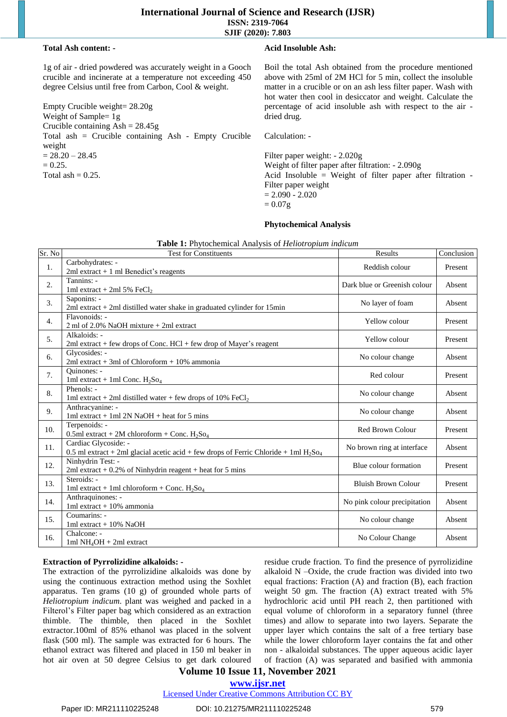#### **Total Ash content: -**

1g of air - dried powdered was accurately weight in a Gooch crucible and incinerate at a temperature not exceeding 450 degree Celsius until free from Carbon, Cool & weight.

Empty Crucible weight= 28.20g Weight of Sample= 1g Crucible containing  $\text{Ash} = 28.45\text{g}$ Total ash = Crucible containing Ash - Empty Crucible weight  $= 28.20 - 28.45$  $= 0.25.$ Total ash  $= 0.25$ .

#### **Acid Insoluble Ash:**

Boil the total Ash obtained from the procedure mentioned above with 25ml of 2M HCl for 5 min, collect the insoluble matter in a crucible or on an ash less filter paper. Wash with hot water then cool in desiccator and weight. Calculate the percentage of acid insoluble ash with respect to the air dried drug.

Calculation: -

Filter paper weight: - 2.020g Weight of filter paper after filtration: - 2.090g Acid Insoluble = Weight of filter paper after filtration - Filter paper weight  $= 2.090 - 2.020$  $= 0.07$ g

| Sr. No | <b>Explorer Text</b> in the model of the contract of the contract of $\theta$<br><b>Test for Constituents</b>               | Results                      | Conclusion |
|--------|-----------------------------------------------------------------------------------------------------------------------------|------------------------------|------------|
| 1.     | Carbohydrates: -<br>2ml extract $+1$ ml Benedict's reagents                                                                 | Reddish colour               | Present    |
| 2.     | Tannins: -<br>1ml extract + 2ml 5% FeCl <sub>2</sub>                                                                        | Dark blue or Greenish colour | Absent     |
| 3.     | Saponins: -<br>$2ml$ extract $+ 2ml$ distilled water shake in graduated cylinder for 15 $min$                               | No layer of foam             | Absent     |
| 4.     | Flavonoids: -<br>2 ml of 2.0% NaOH mixture + 2ml extract                                                                    | Yellow colour                | Present    |
| 5.     | Alkaloids: -<br>$2ml$ extract + few drops of Conc. HCl + few drop of Mayer's reagent                                        | Yellow colour                | Present    |
| 6.     | Glycosides: -<br>$2ml$ extract + 3ml of Chloroform + 10% ammonia                                                            | No colour change             | Absent     |
| 7.     | Ouinones: -<br>1ml extract + 1ml Conc. $H_2$ So <sub>4</sub>                                                                | Red colour                   | Present    |
| 8.     | Phenols: -<br>1ml extract + 2ml distilled water + few drops of 10% FeCl <sub>2</sub>                                        | No colour change             | Absent     |
| 9.     | Anthracyanine: -<br>$1ml$ extract + $1ml$ $2N$ $NaOH$ + heat for 5 mins                                                     | No colour change             | Absent     |
| 10.    | Terpenoids: -<br>0.5ml extract + 2M chloroform + Conc. $H_2$ So <sub>4</sub>                                                | Red Brown Colour             | Present    |
| 11.    | Cardiac Glycoside: -<br>0.5 ml extract + 2ml glacial acetic acid + few drops of Ferric Chloride + 1ml $H_2$ So <sub>4</sub> | No brown ring at interface   | Absent     |
| 12.    | Ninhydrin Test: -<br>2ml extract $+$ 0.2% of Ninhydrin reagent $+$ heat for 5 mins                                          | Blue colour formation        | Present    |
| 13.    | Steroids: -<br>1ml extract + 1ml chloroform + Conc. $H_2$ So <sub>4</sub>                                                   | <b>Bluish Brown Colour</b>   | Present    |
| 14.    | Anthraquinones: -<br>1ml extract + 10% ammonia                                                                              | No pink colour precipitation | Absent     |
| 15.    | Coumarins: -<br>1ml extract $+10\%$ NaOH                                                                                    | No colour change             | Absent     |
| 16.    | Chalcone: -<br>1ml $NH_4OH + 2ml$ extract                                                                                   | No Colour Change             | Absent     |

|  | Table 1: Phytochemical Analysis of Heliotropium indicum |  |
|--|---------------------------------------------------------|--|
|  |                                                         |  |

# **Extraction of Pyrrolizidine alkaloids: -**

The extraction of the pyrrolizidine alkaloids was done by using the continuous extraction method using the Soxhlet apparatus. Ten grams (10 g) of grounded whole parts of *Heliotropium indicum*. plant was weighed and packed in a Filterol's Filter paper bag which considered as an extraction thimble. The thimble, then placed in the Soxhlet extractor.100ml of 85% ethanol was placed in the solvent flask (500 ml). The sample was extracted for 6 hours. The ethanol extract was filtered and placed in 150 ml beaker in hot air oven at 50 degree Celsius to get dark coloured residue crude fraction. To find the presence of pyrrolizidine alkaloid N –Oxide, the crude fraction was divided into two equal fractions: Fraction (A) and fraction (B), each fraction weight 50 gm. The fraction (A) extract treated with 5% hydrochloric acid until PH reach 2, then partitioned with equal volume of chloroform in a separatory funnel (three times) and allow to separate into two layers. Separate the upper layer which contains the salt of a free tertiary base while the lower chloroform layer contains the fat and other non - alkaloidal substances. The upper aqueous acidic layer of fraction (A) was separated and basified with ammonia

# **Volume 10 Issue 11, November 2021**

**www.ijsr.net**

Licensed Under Creative Commons Attribution CC BY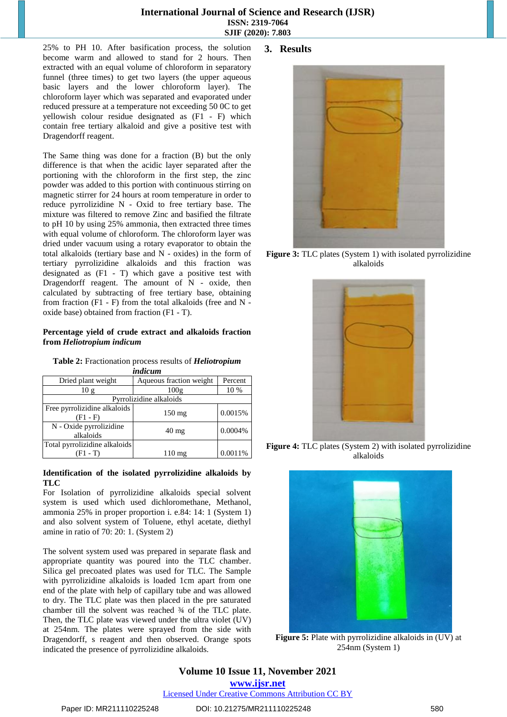#### **International Journal of Science and Research (IJSR) ISSN: 2319-7064 SJIF (2020): 7.803**

25% to PH 10. After basification process, the solution become warm and allowed to stand for 2 hours. Then extracted with an equal volume of chloroform in separatory funnel (three times) to get two layers (the upper aqueous basic layers and the lower chloroform layer). The chloroform layer which was separated and evaporated under reduced pressure at a temperature not exceeding 50 0C to get yellowish colour residue designated as (F1 - F) which contain free tertiary alkaloid and give a positive test with Dragendorff reagent.

The Same thing was done for a fraction (B) but the only difference is that when the acidic layer separated after the portioning with the chloroform in the first step, the zinc powder was added to this portion with continuous stirring on magnetic stirrer for 24 hours at room temperature in order to reduce pyrrolizidine N - Oxid to free tertiary base. The mixture was filtered to remove Zinc and basified the filtrate to pH 10 by using 25% ammonia, then extracted three times with equal volume of chloroform. The chloroform layer was dried under vacuum using a rotary evaporator to obtain the total alkaloids (tertiary base and N - oxides) in the form of tertiary pyrrolizidine alkaloids and this fraction was designated as (F1 - T) which gave a positive test with Dragendorff reagent. The amount of N - oxide, then calculated by subtracting of free tertiary base, obtaining from fraction (F1 - F) from the total alkaloids (free and N oxide base) obtained from fraction (F1 - T).

#### **Percentage yield of crude extract and alkaloids fraction from** *Heliotropium indicum*

**Table 2:** Fractionation process results of *Heliotropium*

| indicum                                    |                         |         |  |  |  |  |
|--------------------------------------------|-------------------------|---------|--|--|--|--|
| Dried plant weight                         | Aqueous fraction weight | Percent |  |  |  |  |
| 10g                                        | 100g                    | 10 %    |  |  |  |  |
| Pyrrolizidine alkaloids                    |                         |         |  |  |  |  |
| Free pyrrolizidine alkaloids<br>$(F1 - F)$ | $150 \text{ mg}$        | 0.0015% |  |  |  |  |
| N - Oxide pyrrolizidine<br>alkaloids       | $40 \text{ mg}$         | 0.0004% |  |  |  |  |
| Total pyrrolizidine alkaloids<br>(F1 - T)  | $110 \text{ mg}$        | 0.0011% |  |  |  |  |

#### **Identification of the isolated pyrrolizidine alkaloids by TLC**

For Isolation of pyrrolizidine alkaloids special solvent system is used which used dichloromethane, Methanol, ammonia 25% in proper proportion i. e.84: 14: 1 (System 1) and also solvent system of Toluene, ethyl acetate, diethyl amine in ratio of 70: 20: 1. (System 2)

The solvent system used was prepared in separate flask and appropriate quantity was poured into the TLC chamber. Silica gel precoated plates was used for TLC. The Sample with pyrrolizidine alkaloids is loaded 1cm apart from one end of the plate with help of capillary tube and was allowed to dry. The TLC plate was then placed in the pre saturated chamber till the solvent was reached ¾ of the TLC plate. Then, the TLC plate was viewed under the ultra violet (UV) at 254nm. The plates were sprayed from the side with Dragendorff, s reagent and then observed. Orange spots indicated the presence of pyrrolizidine alkaloids.

## **3. Results**



**Figure 3:** TLC plates (System 1) with isolated pyrrolizidine alkaloids



**Figure 4:** TLC plates (System 2) with isolated pyrrolizidine alkaloids



**Figure 5:** Plate with pyrrolizidine alkaloids in  $(UV)$  at 254nm (System 1)

**Volume 10 Issue 11, November 2021 www.ijsr.net**

Licensed Under Creative Commons Attribution CC BY